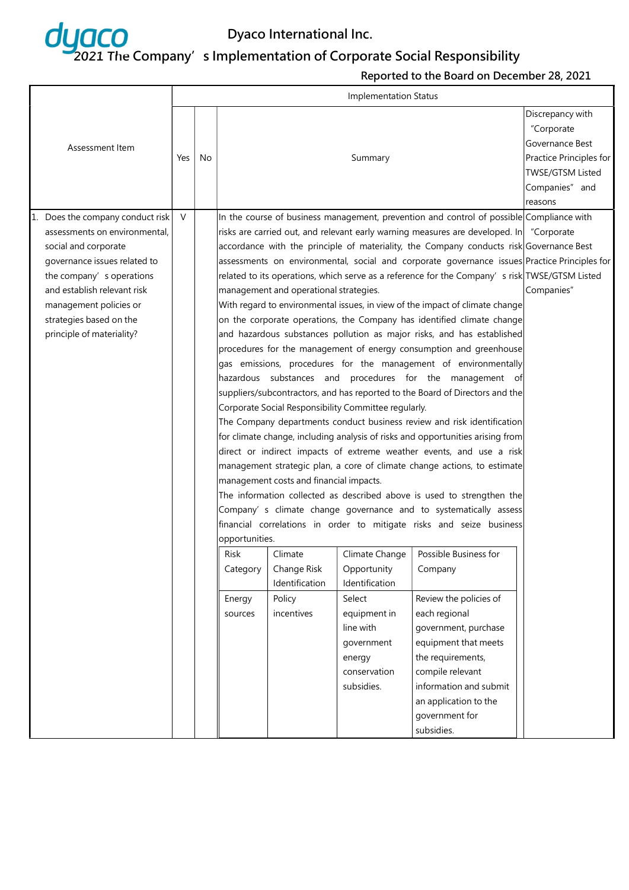

|                                  |     |    |                                                                              |                                                                                               |                                                      |                                                                                              | Discrepancy with        |
|----------------------------------|-----|----|------------------------------------------------------------------------------|-----------------------------------------------------------------------------------------------|------------------------------------------------------|----------------------------------------------------------------------------------------------|-------------------------|
|                                  |     |    |                                                                              |                                                                                               |                                                      |                                                                                              | "Corporate              |
| Assessment Item                  |     |    |                                                                              |                                                                                               |                                                      |                                                                                              | Governance Best         |
|                                  | Yes | No |                                                                              |                                                                                               | Summary                                              |                                                                                              | Practice Principles for |
|                                  |     |    |                                                                              |                                                                                               |                                                      |                                                                                              | TWSE/GTSM Listed        |
|                                  |     |    |                                                                              |                                                                                               |                                                      |                                                                                              | Companies" and          |
|                                  |     |    |                                                                              |                                                                                               |                                                      |                                                                                              | reasons                 |
| 1. Does the company conduct risk | V   |    |                                                                              |                                                                                               |                                                      | In the course of business management, prevention and control of possible Compliance with     |                         |
| assessments on environmental,    |     |    |                                                                              |                                                                                               |                                                      | risks are carried out, and relevant early warning measures are developed. In "Corporate"     |                         |
| social and corporate             |     |    |                                                                              |                                                                                               |                                                      | accordance with the principle of materiality, the Company conducts risk Governance Best      |                         |
| governance issues related to     |     |    |                                                                              |                                                                                               |                                                      | assessments on environmental, social and corporate governance issues Practice Principles for |                         |
| the company's operations         |     |    |                                                                              | related to its operations, which serve as a reference for the Company's risk TWSE/GTSM Listed |                                                      |                                                                                              |                         |
| and establish relevant risk      |     |    | management and operational strategies.                                       | Companies"                                                                                    |                                                      |                                                                                              |                         |
| management policies or           |     |    | With regard to environmental issues, in view of the impact of climate change |                                                                                               |                                                      |                                                                                              |                         |
| strategies based on the          |     |    | on the corporate operations, the Company has identified climate change       |                                                                                               |                                                      |                                                                                              |                         |
| principle of materiality?        |     |    |                                                                              |                                                                                               |                                                      | and hazardous substances pollution as major risks, and has established                       |                         |
|                                  |     |    | procedures for the management of energy consumption and greenhouse           |                                                                                               |                                                      |                                                                                              |                         |
|                                  |     |    | gas emissions, procedures for the management of environmentally              |                                                                                               |                                                      |                                                                                              |                         |
|                                  |     |    | hazardous substances and procedures for the management of                    |                                                                                               |                                                      |                                                                                              |                         |
|                                  |     |    |                                                                              |                                                                                               |                                                      | suppliers/subcontractors, and has reported to the Board of Directors and the                 |                         |
|                                  |     |    |                                                                              |                                                                                               | Corporate Social Responsibility Committee regularly. |                                                                                              |                         |
|                                  |     |    |                                                                              |                                                                                               |                                                      | The Company departments conduct business review and risk identification                      |                         |
|                                  |     |    |                                                                              |                                                                                               |                                                      | for climate change, including analysis of risks and opportunities arising from               |                         |
|                                  |     |    |                                                                              |                                                                                               |                                                      | direct or indirect impacts of extreme weather events, and use a risk                         |                         |
|                                  |     |    |                                                                              |                                                                                               |                                                      | management strategic plan, a core of climate change actions, to estimate                     |                         |
|                                  |     |    |                                                                              | management costs and financial impacts.                                                       |                                                      |                                                                                              |                         |
|                                  |     |    |                                                                              |                                                                                               |                                                      | The information collected as described above is used to strengthen the                       |                         |
|                                  |     |    |                                                                              |                                                                                               |                                                      | Company' s climate change governance and to systematically assess                            |                         |
|                                  |     |    |                                                                              |                                                                                               |                                                      | financial correlations in order to mitigate risks and seize business                         |                         |
|                                  |     |    | opportunities.                                                               |                                                                                               |                                                      |                                                                                              |                         |
|                                  |     |    | Risk                                                                         | Climate                                                                                       | Climate Change                                       | Possible Business for                                                                        |                         |
|                                  |     |    | Category                                                                     | Change Risk                                                                                   | Opportunity                                          | Company                                                                                      |                         |
|                                  |     |    |                                                                              | Identification                                                                                | Identification                                       |                                                                                              |                         |
|                                  |     |    | Energy                                                                       | Policy                                                                                        | Select                                               | Review the policies of                                                                       |                         |
|                                  |     |    | sources                                                                      | incentives                                                                                    | equipment in                                         | each regional                                                                                |                         |
|                                  |     |    |                                                                              |                                                                                               | line with                                            | government, purchase                                                                         |                         |
|                                  |     |    |                                                                              |                                                                                               | government                                           | equipment that meets                                                                         |                         |
|                                  |     |    |                                                                              |                                                                                               | energy                                               | the requirements,                                                                            |                         |
|                                  |     |    |                                                                              |                                                                                               | conservation                                         | compile relevant                                                                             |                         |
|                                  |     |    |                                                                              |                                                                                               | subsidies.                                           | information and submit                                                                       |                         |
|                                  |     |    |                                                                              |                                                                                               |                                                      | an application to the                                                                        |                         |
|                                  |     |    |                                                                              |                                                                                               |                                                      | government for                                                                               |                         |
|                                  |     |    |                                                                              |                                                                                               |                                                      | subsidies.                                                                                   |                         |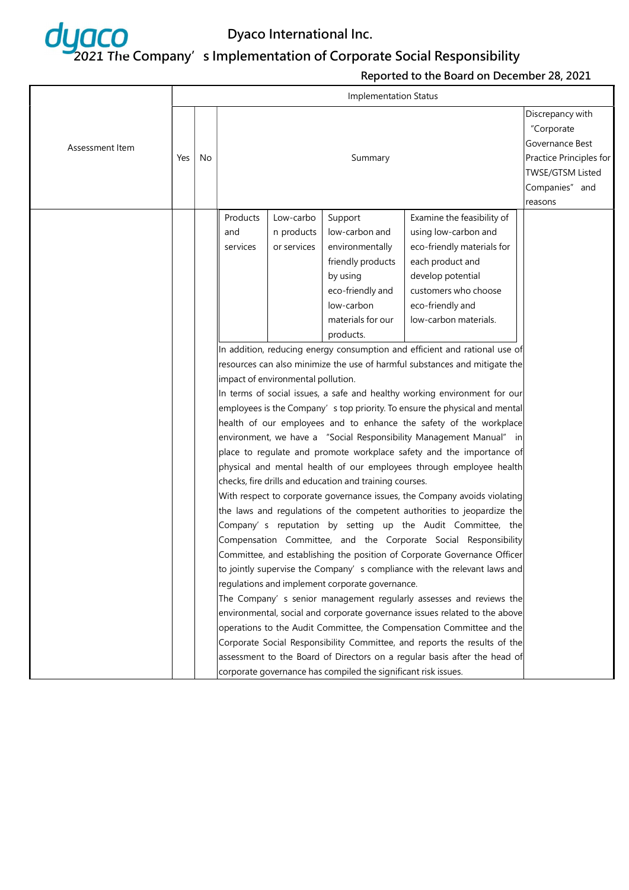

|                 | <b>Implementation Status</b> |    |          |                                    |                                                                |                                                                            |                         |  |  |  |
|-----------------|------------------------------|----|----------|------------------------------------|----------------------------------------------------------------|----------------------------------------------------------------------------|-------------------------|--|--|--|
|                 |                              |    |          |                                    |                                                                |                                                                            | Discrepancy with        |  |  |  |
|                 |                              |    |          |                                    |                                                                |                                                                            | "Corporate              |  |  |  |
| Assessment Item |                              |    |          | Governance Best                    |                                                                |                                                                            |                         |  |  |  |
|                 | Yes                          | No |          |                                    | Summary                                                        |                                                                            | Practice Principles for |  |  |  |
|                 |                              |    |          |                                    |                                                                |                                                                            | <b>TWSE/GTSM Listed</b> |  |  |  |
|                 |                              |    |          |                                    |                                                                |                                                                            | Companies" and          |  |  |  |
|                 |                              |    |          |                                    |                                                                |                                                                            | reasons                 |  |  |  |
|                 |                              |    | Products | Low-carbo                          | Support                                                        | Examine the feasibility of                                                 |                         |  |  |  |
|                 |                              |    | and      | n products                         | low-carbon and                                                 | using low-carbon and                                                       |                         |  |  |  |
|                 |                              |    | services | or services                        | environmentally                                                | eco-friendly materials for                                                 |                         |  |  |  |
|                 |                              |    |          |                                    | friendly products                                              | each product and                                                           |                         |  |  |  |
|                 |                              |    |          |                                    | by using                                                       | develop potential                                                          |                         |  |  |  |
|                 |                              |    |          |                                    | eco-friendly and                                               | customers who choose                                                       |                         |  |  |  |
|                 |                              |    |          |                                    | low-carbon                                                     | eco-friendly and                                                           |                         |  |  |  |
|                 |                              |    |          |                                    | materials for our                                              | low-carbon materials.                                                      |                         |  |  |  |
|                 |                              |    |          |                                    | products.                                                      |                                                                            |                         |  |  |  |
|                 |                              |    |          |                                    |                                                                | In addition, reducing energy consumption and efficient and rational use of |                         |  |  |  |
|                 |                              |    |          |                                    |                                                                | resources can also minimize the use of harmful substances and mitigate the |                         |  |  |  |
|                 |                              |    |          | impact of environmental pollution. |                                                                |                                                                            |                         |  |  |  |
|                 |                              |    |          |                                    |                                                                | In terms of social issues, a safe and healthy working environment for our  |                         |  |  |  |
|                 |                              |    |          |                                    |                                                                | employees is the Company's top priority. To ensure the physical and mental |                         |  |  |  |
|                 |                              |    |          |                                    |                                                                | health of our employees and to enhance the safety of the workplace         |                         |  |  |  |
|                 |                              |    |          |                                    |                                                                | environment, we have a "Social Responsibility Management Manual" in        |                         |  |  |  |
|                 |                              |    |          |                                    |                                                                | place to regulate and promote workplace safety and the importance of       |                         |  |  |  |
|                 |                              |    |          |                                    |                                                                | physical and mental health of our employees through employee health        |                         |  |  |  |
|                 |                              |    |          |                                    | checks, fire drills and education and training courses.        |                                                                            |                         |  |  |  |
|                 |                              |    |          |                                    |                                                                | With respect to corporate governance issues, the Company avoids violating  |                         |  |  |  |
|                 |                              |    |          |                                    |                                                                | the laws and regulations of the competent authorities to jeopardize the    |                         |  |  |  |
|                 |                              |    |          |                                    |                                                                | Company' s reputation by setting up the Audit Committee, the               |                         |  |  |  |
|                 |                              |    |          |                                    |                                                                | Compensation Committee, and the Corporate Social Responsibility            |                         |  |  |  |
|                 |                              |    |          |                                    |                                                                | Committee, and establishing the position of Corporate Governance Officer   |                         |  |  |  |
|                 |                              |    |          |                                    |                                                                | to jointly supervise the Company's compliance with the relevant laws and   |                         |  |  |  |
|                 |                              |    |          |                                    | regulations and implement corporate governance.                |                                                                            |                         |  |  |  |
|                 |                              |    |          |                                    |                                                                | The Company' s senior management regularly assesses and reviews the        |                         |  |  |  |
|                 |                              |    |          |                                    |                                                                | environmental, social and corporate governance issues related to the above |                         |  |  |  |
|                 |                              |    |          |                                    |                                                                | operations to the Audit Committee, the Compensation Committee and the      |                         |  |  |  |
|                 |                              |    |          |                                    |                                                                | Corporate Social Responsibility Committee, and reports the results of the  |                         |  |  |  |
|                 |                              |    |          |                                    |                                                                | assessment to the Board of Directors on a regular basis after the head of  |                         |  |  |  |
|                 |                              |    |          |                                    | corporate governance has compiled the significant risk issues. |                                                                            |                         |  |  |  |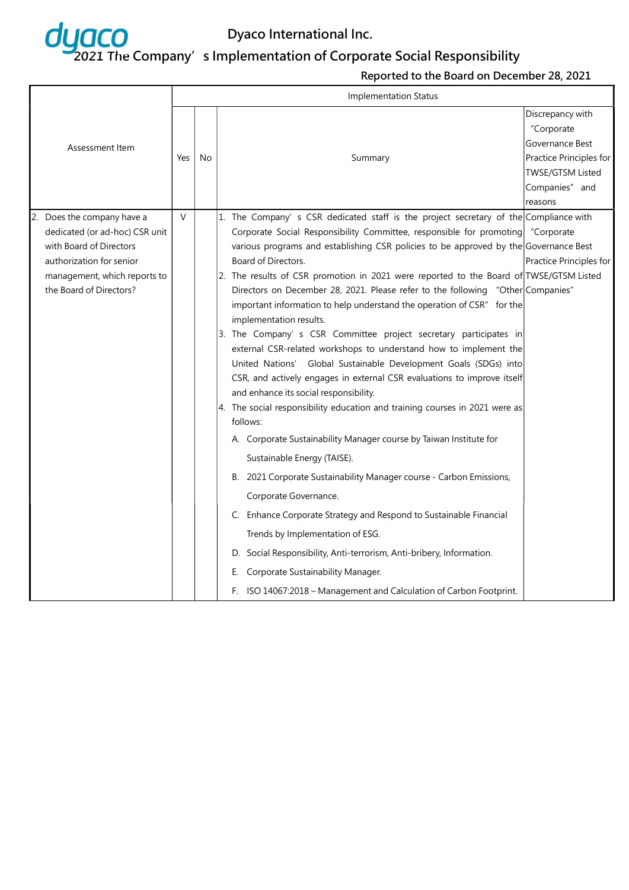

|                                                                                                                                                                             | <b>Implementation Status</b> |    |                                                                                                                                                                                                                                                                                                                                                                                                                                                                                                                                                                                                                                                                                                                                                                                                                                                                                                                                                                                                                                                                                                                                                                                                                                                                                                                                                                                                                                                                                                          |                                                                                                                                      |  |  |  |  |
|-----------------------------------------------------------------------------------------------------------------------------------------------------------------------------|------------------------------|----|----------------------------------------------------------------------------------------------------------------------------------------------------------------------------------------------------------------------------------------------------------------------------------------------------------------------------------------------------------------------------------------------------------------------------------------------------------------------------------------------------------------------------------------------------------------------------------------------------------------------------------------------------------------------------------------------------------------------------------------------------------------------------------------------------------------------------------------------------------------------------------------------------------------------------------------------------------------------------------------------------------------------------------------------------------------------------------------------------------------------------------------------------------------------------------------------------------------------------------------------------------------------------------------------------------------------------------------------------------------------------------------------------------------------------------------------------------------------------------------------------------|--------------------------------------------------------------------------------------------------------------------------------------|--|--|--|--|
| Assessment Item                                                                                                                                                             | Yes                          | No | Summary                                                                                                                                                                                                                                                                                                                                                                                                                                                                                                                                                                                                                                                                                                                                                                                                                                                                                                                                                                                                                                                                                                                                                                                                                                                                                                                                                                                                                                                                                                  | Discrepancy with<br>"Corporate<br>Governance Best<br>Practice Principles for<br><b>TWSE/GTSM Listed</b><br>Companies" and<br>reasons |  |  |  |  |
| Does the company have a<br>dedicated (or ad-hoc) CSR unit<br>with Board of Directors<br>authorization for senior<br>management, which reports to<br>the Board of Directors? | $\vee$                       |    | 1. The Company's CSR dedicated staff is the project secretary of the Compliance with<br>Corporate Social Responsibility Committee, responsible for promoting<br>various programs and establishing CSR policies to be approved by the Governance Best<br>Board of Directors.<br>2. The results of CSR promotion in 2021 were reported to the Board of TWSE/GTSM Listed<br>Directors on December 28, 2021. Please refer to the following "Other Companies"<br>important information to help understand the operation of CSR" for the<br>implementation results.<br>3. The Company' s CSR Committee project secretary participates in<br>external CSR-related workshops to understand how to implement the<br>United Nations' Global Sustainable Development Goals (SDGs) into<br>CSR, and actively engages in external CSR evaluations to improve itself<br>and enhance its social responsibility.<br>$ 4$ . The social responsibility education and training courses in 2021 were as<br>follows:<br>A. Corporate Sustainability Manager course by Taiwan Institute for<br>Sustainable Energy (TAISE).<br>B. 2021 Corporate Sustainability Manager course - Carbon Emissions,<br>Corporate Governance.<br>C. Enhance Corporate Strategy and Respond to Sustainable Financial<br>Trends by Implementation of ESG.<br>D. Social Responsibility, Anti-terrorism, Anti-bribery, Information.<br>Corporate Sustainability Manager.<br>Е.<br>F. ISO 14067:2018 - Management and Calculation of Carbon Footprint. | "Corporate<br>Practice Principles for                                                                                                |  |  |  |  |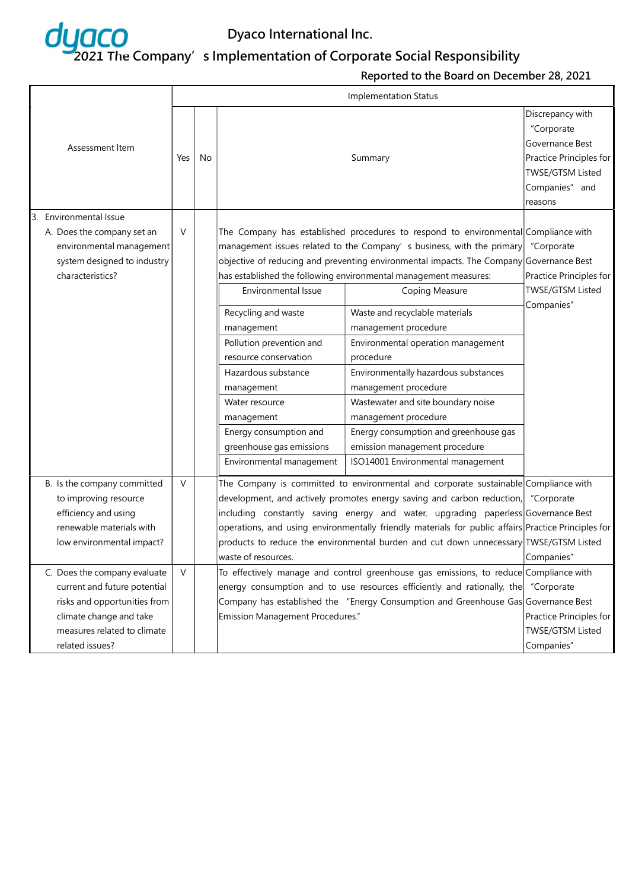

|                 |                                                                                                                                                                           |        |    |                                                                                                                                                                                                                                                                                                                                                                                                                                                                                      | <b>Implementation Status</b>                                                                                                                                                                                                                                                                                                                                                                                                                                                                                                                                                                                                                                                                            |                                                                                                                               |
|-----------------|---------------------------------------------------------------------------------------------------------------------------------------------------------------------------|--------|----|--------------------------------------------------------------------------------------------------------------------------------------------------------------------------------------------------------------------------------------------------------------------------------------------------------------------------------------------------------------------------------------------------------------------------------------------------------------------------------------|---------------------------------------------------------------------------------------------------------------------------------------------------------------------------------------------------------------------------------------------------------------------------------------------------------------------------------------------------------------------------------------------------------------------------------------------------------------------------------------------------------------------------------------------------------------------------------------------------------------------------------------------------------------------------------------------------------|-------------------------------------------------------------------------------------------------------------------------------|
| Assessment Item |                                                                                                                                                                           | Yes    | No |                                                                                                                                                                                                                                                                                                                                                                                                                                                                                      | Summary                                                                                                                                                                                                                                                                                                                                                                                                                                                                                                                                                                                                                                                                                                 | Discrepancy with<br>"Corporate<br>Governance Best<br>Practice Principles for<br>TWSE/GTSM Listed<br>Companies" and<br>reasons |
|                 | 3. Environmental Issue<br>A. Does the company set an<br>environmental management<br>system designed to industry<br>characteristics?                                       | $\vee$ |    | Environmental Issue<br>Recycling and waste<br>management<br>Pollution prevention and<br>resource conservation<br>Hazardous substance<br>management<br>Water resource<br>management<br>Energy consumption and<br>greenhouse gas emissions<br>Environmental management                                                                                                                                                                                                                 | The Company has established procedures to respond to environmental Compliance with<br>management issues related to the Company' s business, with the primary<br>objective of reducing and preventing environmental impacts. The Company Governance Best<br>has established the following environmental management measures:<br>Coping Measure<br>Waste and recyclable materials<br>management procedure<br>Environmental operation management<br>procedure<br>Environmentally hazardous substances<br>management procedure<br>Wastewater and site boundary noise<br>management procedure<br>Energy consumption and greenhouse gas<br>emission management procedure<br>ISO14001 Environmental management | "Corporate<br>Practice Principles for<br><b>TWSE/GTSM Listed</b><br>Companies"                                                |
|                 | B. Is the company committed<br>to improving resource<br>efficiency and using<br>renewable materials with<br>low environmental impact?                                     | $\vee$ |    | The Company is committed to environmental and corporate sustainable Compliance with<br>development, and actively promotes energy saving and carbon reduction, "Corporate<br>including constantly saving energy and water, upgrading paperless Governance Best<br>operations, and using environmentally friendly materials for public affairs Practice Principles for<br>products to reduce the environmental burden and cut down unnecessary TWSE/GTSM Listed<br>waste of resources. | Companies"                                                                                                                                                                                                                                                                                                                                                                                                                                                                                                                                                                                                                                                                                              |                                                                                                                               |
|                 | C. Does the company evaluate<br>current and future potential<br>risks and opportunities from<br>climate change and take<br>measures related to climate<br>related issues? | $\vee$ |    | Emission Management Procedures."                                                                                                                                                                                                                                                                                                                                                                                                                                                     | To effectively manage and control greenhouse gas emissions, to reduce Compliance with<br>energy consumption and to use resources efficiently and rationally, the<br>Company has established the "Energy Consumption and Greenhouse Gas Governance Best                                                                                                                                                                                                                                                                                                                                                                                                                                                  | "Corporate<br>Practice Principles for<br>TWSE/GTSM Listed<br>Companies"                                                       |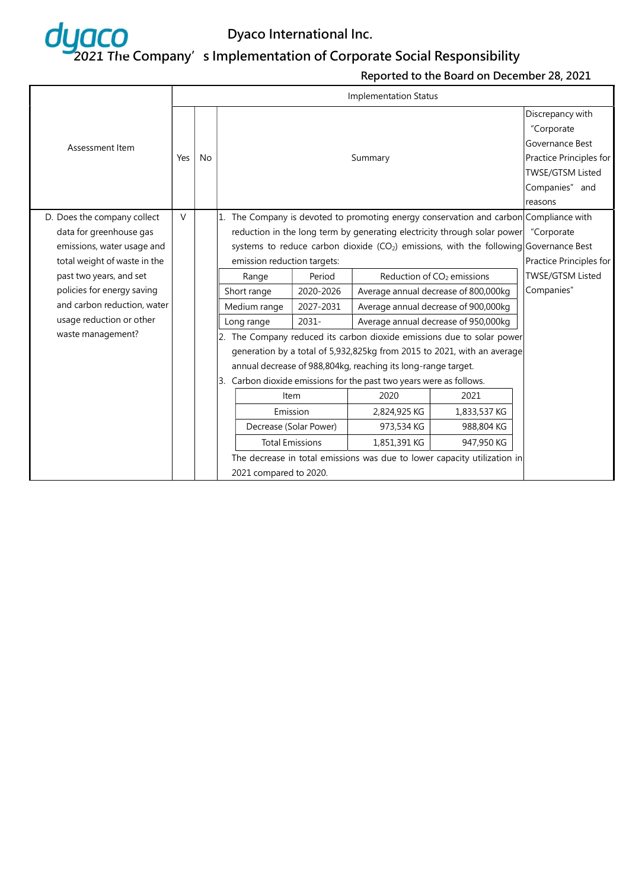

|                              |        |           |                             |                                                                                       |                                                                     |                                                                                          | Discrepancy with        |  |  |
|------------------------------|--------|-----------|-----------------------------|---------------------------------------------------------------------------------------|---------------------------------------------------------------------|------------------------------------------------------------------------------------------|-------------------------|--|--|
|                              |        |           |                             |                                                                                       |                                                                     |                                                                                          | "Corporate              |  |  |
| Assessment Item              |        |           |                             |                                                                                       |                                                                     |                                                                                          | Governance Best         |  |  |
|                              | Yes    | <b>No</b> |                             |                                                                                       | Summary                                                             |                                                                                          | Practice Principles for |  |  |
|                              |        |           |                             |                                                                                       |                                                                     |                                                                                          | TWSE/GTSM Listed        |  |  |
|                              |        |           |                             |                                                                                       |                                                                     |                                                                                          | Companies" and          |  |  |
|                              |        |           |                             |                                                                                       |                                                                     |                                                                                          | reasons                 |  |  |
| D. Does the company collect  | $\vee$ |           |                             | 1. The Company is devoted to promoting energy conservation and carbon Compliance with |                                                                     |                                                                                          |                         |  |  |
| data for greenhouse gas      |        |           |                             |                                                                                       |                                                                     | reduction in the long term by generating electricity through solar power                 | "Corporate              |  |  |
| emissions, water usage and   |        |           |                             |                                                                                       |                                                                     | systems to reduce carbon dioxide ( $CO2$ ) emissions, with the following Governance Best |                         |  |  |
| total weight of waste in the |        |           | emission reduction targets: | Practice Principles for                                                               |                                                                     |                                                                                          |                         |  |  |
| past two years, and set      |        |           | Range                       | Period                                                                                |                                                                     | Reduction of CO <sub>2</sub> emissions                                                   | TWSE/GTSM Listed        |  |  |
| policies for energy saving   |        |           | Short range                 | 2020-2026                                                                             |                                                                     | Average annual decrease of 800,000kg                                                     | Companies"              |  |  |
| and carbon reduction, water  |        |           | Medium range                | 2027-2031                                                                             |                                                                     | Average annual decrease of 900,000kg                                                     |                         |  |  |
| usage reduction or other     |        |           | Long range                  | 2031-                                                                                 |                                                                     | Average annual decrease of 950,000kg                                                     |                         |  |  |
| waste management?            |        |           |                             |                                                                                       |                                                                     | 2. The Company reduced its carbon dioxide emissions due to solar power                   |                         |  |  |
|                              |        |           |                             |                                                                                       |                                                                     | generation by a total of 5,932,825kg from 2015 to 2021, with an average                  |                         |  |  |
|                              |        |           |                             |                                                                                       | annual decrease of 988,804kg, reaching its long-range target.       |                                                                                          |                         |  |  |
|                              |        |           |                             |                                                                                       | 3. Carbon dioxide emissions for the past two years were as follows. |                                                                                          |                         |  |  |
|                              |        |           |                             | Item                                                                                  | 2020                                                                | 2021                                                                                     |                         |  |  |
|                              |        |           |                             | Emission                                                                              | 2,824,925 KG                                                        | 1,833,537 KG                                                                             |                         |  |  |
|                              |        |           |                             | Decrease (Solar Power)                                                                | 973,534 KG                                                          | 988,804 KG                                                                               |                         |  |  |
|                              |        |           | <b>Total Emissions</b>      |                                                                                       | 1,851,391 KG                                                        | 947,950 KG                                                                               |                         |  |  |
|                              |        |           |                             |                                                                                       |                                                                     | The decrease in total emissions was due to lower capacity utilization in                 |                         |  |  |
|                              |        |           | 2021 compared to 2020.      |                                                                                       |                                                                     |                                                                                          |                         |  |  |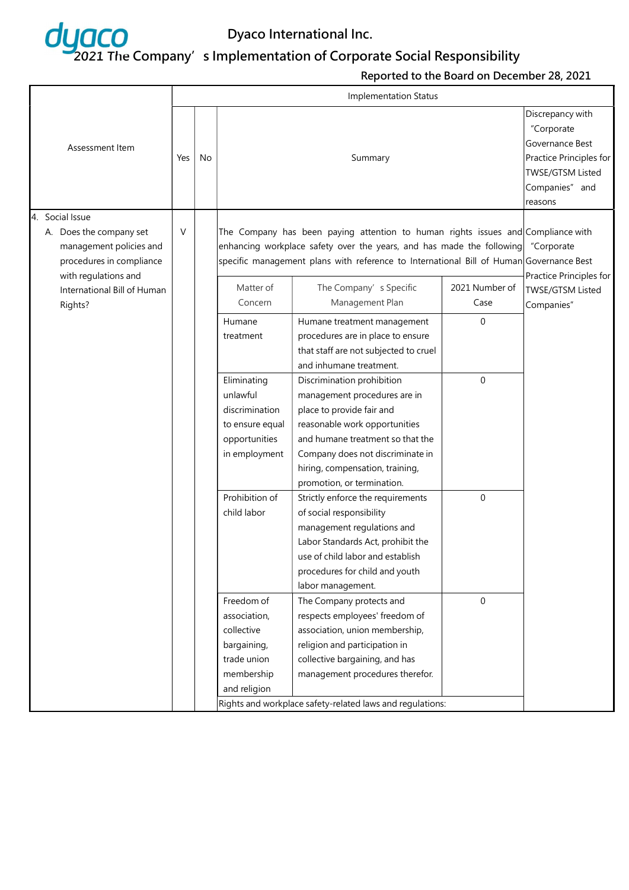

|  |                                                                                                                           |     |    |                                                                                                                                                                                                                                                      | <b>Implementation Status</b>                                                                                                                                                                                                                                      |                        |                                                                  |
|--|---------------------------------------------------------------------------------------------------------------------------|-----|----|------------------------------------------------------------------------------------------------------------------------------------------------------------------------------------------------------------------------------------------------------|-------------------------------------------------------------------------------------------------------------------------------------------------------------------------------------------------------------------------------------------------------------------|------------------------|------------------------------------------------------------------|
|  | Assessment Item                                                                                                           | Yes | No |                                                                                                                                                                                                                                                      | Discrepancy with<br>"Corporate<br>Governance Best<br>Practice Principles for<br>TWSE/GTSM Listed<br>Companies" and<br>reasons                                                                                                                                     |                        |                                                                  |
|  | 4. Social Issue<br>A. Does the company set<br>management policies and<br>procedures in compliance<br>with regulations and | V   |    | The Company has been paying attention to human rights issues and Compliance with<br>enhancing workplace safety over the years, and has made the following<br>specific management plans with reference to International Bill of Human Governance Best | "Corporate                                                                                                                                                                                                                                                        |                        |                                                                  |
|  | International Bill of Human<br>Rights?                                                                                    |     |    | Matter of<br>Concern                                                                                                                                                                                                                                 | The Company's Specific<br>Management Plan                                                                                                                                                                                                                         | 2021 Number of<br>Case | Practice Principles for<br><b>TWSE/GTSM Listed</b><br>Companies" |
|  |                                                                                                                           |     |    | Humane<br>treatment                                                                                                                                                                                                                                  | Humane treatment management<br>procedures are in place to ensure<br>that staff are not subjected to cruel<br>and inhumane treatment.                                                                                                                              | 0                      |                                                                  |
|  |                                                                                                                           |     |    | Eliminating<br>unlawful<br>discrimination<br>to ensure equal<br>opportunities<br>in employment                                                                                                                                                       | Discrimination prohibition<br>management procedures are in<br>place to provide fair and<br>reasonable work opportunities<br>and humane treatment so that the<br>Company does not discriminate in<br>hiring, compensation, training,<br>promotion, or termination. | 0                      |                                                                  |
|  |                                                                                                                           |     |    | Prohibition of<br>child labor                                                                                                                                                                                                                        | Strictly enforce the requirements<br>of social responsibility<br>management regulations and<br>Labor Standards Act, prohibit the<br>use of child labor and establish<br>procedures for child and youth<br>labor management.                                       | $\mathbf 0$            |                                                                  |
|  |                                                                                                                           |     |    | Freedom of<br>association,<br>collective<br>bargaining,<br>trade union<br>membership<br>and religion                                                                                                                                                 | The Company protects and<br>respects employees' freedom of<br>association, union membership,<br>religion and participation in<br>collective bargaining, and has<br>management procedures therefor.<br>Rights and workplace safety-related laws and regulations:   | 0                      |                                                                  |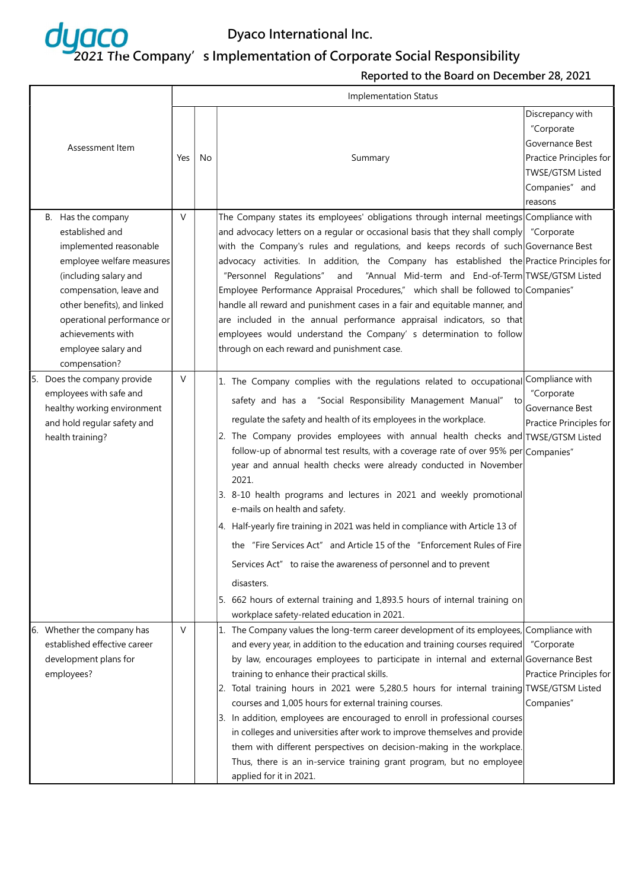

| Assessment Item                                                                                                                                                                                                                                                            | Yes | No | Summary                                                                                                                                                                                                                                                                                                                                                                                                                                                                                                                                                                                                                                                                                                                                                                                                                                                                                                                                                                  | Discrepancy with<br>"Corporate<br>Governance Best<br>Practice Principles for<br><b>TWSE/GTSM Listed</b><br>Companies" and<br>reasons |
|----------------------------------------------------------------------------------------------------------------------------------------------------------------------------------------------------------------------------------------------------------------------------|-----|----|--------------------------------------------------------------------------------------------------------------------------------------------------------------------------------------------------------------------------------------------------------------------------------------------------------------------------------------------------------------------------------------------------------------------------------------------------------------------------------------------------------------------------------------------------------------------------------------------------------------------------------------------------------------------------------------------------------------------------------------------------------------------------------------------------------------------------------------------------------------------------------------------------------------------------------------------------------------------------|--------------------------------------------------------------------------------------------------------------------------------------|
| B. Has the company<br>established and<br>implemented reasonable<br>employee welfare measures<br>(including salary and<br>compensation, leave and<br>other benefits), and linked<br>operational performance or<br>achievements with<br>employee salary and<br>compensation? | V   |    | The Company states its employees' obligations through internal meetings Compliance with<br>and advocacy letters on a regular or occasional basis that they shall comply "Corporate<br>with the Company's rules and regulations, and keeps records of such Governance Best<br>advocacy activities. In addition, the Company has established the Practice Principles for<br>"Personnel Regulations"<br>and<br>"Annual Mid-term and End-of-Term TWSE/GTSM Listed<br>Employee Performance Appraisal Procedures," which shall be followed to Companies"<br>handle all reward and punishment cases in a fair and equitable manner, and<br>are included in the annual performance appraisal indicators, so that<br>employees would understand the Company' s determination to follow<br>through on each reward and punishment case.                                                                                                                                             |                                                                                                                                      |
| 5. Does the company provide<br>employees with safe and<br>healthy working environment<br>and hold regular safety and<br>health training?                                                                                                                                   | V   |    | 1. The Company complies with the regulations related to occupational Compliance with<br>safety and has a "Social Responsibility Management Manual" to<br>regulate the safety and health of its employees in the workplace.<br>2. The Company provides employees with annual health checks and TWSE/GTSM Listed<br>follow-up of abnormal test results, with a coverage rate of over 95% per Companies"<br>year and annual health checks were already conducted in November<br>2021.<br>3. 8-10 health programs and lectures in 2021 and weekly promotional<br>e-mails on health and safety.<br>4. Half-yearly fire training in 2021 was held in compliance with Article 13 of<br>the "Fire Services Act" and Article 15 of the "Enforcement Rules of Fire<br>Services Act" to raise the awareness of personnel and to prevent<br>disasters.<br>5. 662 hours of external training and 1,893.5 hours of internal training on<br>workplace safety-related education in 2021. | "Corporate<br>Governance Best<br>Practice Principles for                                                                             |
| 6. Whether the company has<br>established effective career<br>development plans for<br>employees?                                                                                                                                                                          | V   |    | 1. The Company values the long-term career development of its employees, Compliance with<br>and every year, in addition to the education and training courses required<br>by law, encourages employees to participate in internal and external Governance Best<br>training to enhance their practical skills.<br>2. Total training hours in 2021 were 5,280.5 hours for internal training TWSE/GTSM Listed<br>courses and 1,005 hours for external training courses.<br>3. In addition, employees are encouraged to enroll in professional courses<br>in colleges and universities after work to improve themselves and provide<br>them with different perspectives on decision-making in the workplace.<br>Thus, there is an in-service training grant program, but no employee<br>applied for it in 2021.                                                                                                                                                              | "Corporate<br>Practice Principles for<br>Companies"                                                                                  |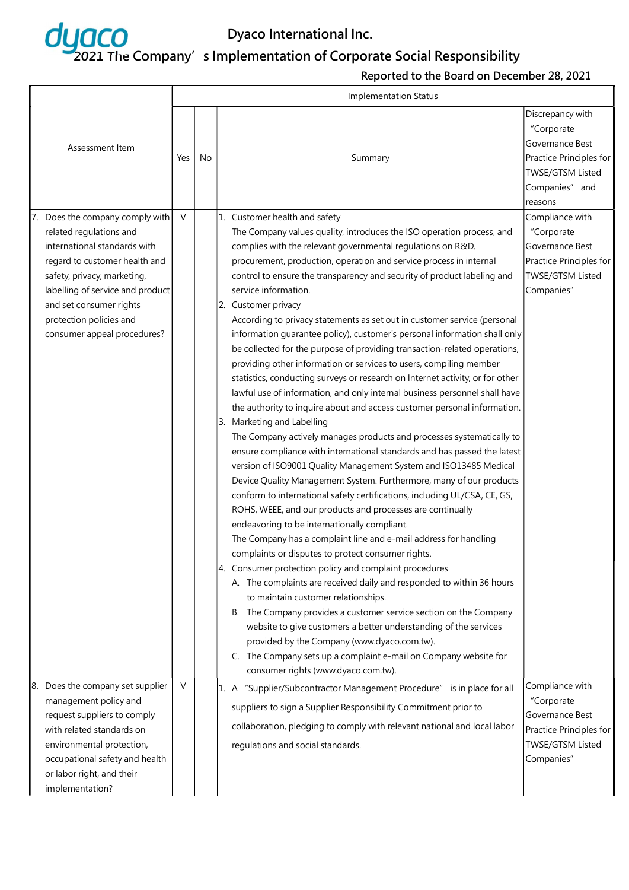

| Assessment Item<br>7. Does the company comply with                                                                                                                                                                                               | Yes<br>$\vee$ | No | Summary<br>1. Customer health and safety                                                                                                                                                                                                                                                                                                                                                                                                                                                                                                                                                                                                                                                                                                                                                                                                                                                                                                                                                                                                                                                                                                                                                                                                                                                                                                                                                                                                                                                                                                                                                                                                                                                                                                                                                                                                                                                                                                                                                                                     | Discrepancy with<br>"Corporate<br>Governance Best<br>Practice Principles for<br>TWSE/GTSM Listed<br>Companies" and<br>reasons<br>Compliance with |
|--------------------------------------------------------------------------------------------------------------------------------------------------------------------------------------------------------------------------------------------------|---------------|----|------------------------------------------------------------------------------------------------------------------------------------------------------------------------------------------------------------------------------------------------------------------------------------------------------------------------------------------------------------------------------------------------------------------------------------------------------------------------------------------------------------------------------------------------------------------------------------------------------------------------------------------------------------------------------------------------------------------------------------------------------------------------------------------------------------------------------------------------------------------------------------------------------------------------------------------------------------------------------------------------------------------------------------------------------------------------------------------------------------------------------------------------------------------------------------------------------------------------------------------------------------------------------------------------------------------------------------------------------------------------------------------------------------------------------------------------------------------------------------------------------------------------------------------------------------------------------------------------------------------------------------------------------------------------------------------------------------------------------------------------------------------------------------------------------------------------------------------------------------------------------------------------------------------------------------------------------------------------------------------------------------------------------|--------------------------------------------------------------------------------------------------------------------------------------------------|
| related regulations and<br>international standards with<br>regard to customer health and<br>safety, privacy, marketing,<br>labelling of service and product<br>and set consumer rights<br>protection policies and<br>consumer appeal procedures? |               |    | The Company values quality, introduces the ISO operation process, and<br>complies with the relevant governmental regulations on R&D,<br>procurement, production, operation and service process in internal<br>control to ensure the transparency and security of product labeling and<br>service information.<br>2. Customer privacy<br>According to privacy statements as set out in customer service (personal<br>information guarantee policy), customer's personal information shall only<br>be collected for the purpose of providing transaction-related operations,<br>providing other information or services to users, compiling member<br>statistics, conducting surveys or research on Internet activity, or for other<br>lawful use of information, and only internal business personnel shall have<br>the authority to inquire about and access customer personal information.<br>3. Marketing and Labelling<br>The Company actively manages products and processes systematically to<br>ensure compliance with international standards and has passed the latest<br>version of ISO9001 Quality Management System and ISO13485 Medical<br>Device Quality Management System. Furthermore, many of our products<br>conform to international safety certifications, including UL/CSA, CE, GS,<br>ROHS, WEEE, and our products and processes are continually<br>endeavoring to be internationally compliant.<br>The Company has a complaint line and e-mail address for handling<br>complaints or disputes to protect consumer rights.<br>4. Consumer protection policy and complaint procedures<br>A. The complaints are received daily and responded to within 36 hours<br>to maintain customer relationships.<br>B. The Company provides a customer service section on the Company<br>website to give customers a better understanding of the services<br>provided by the Company (www.dyaco.com.tw).<br>C. The Company sets up a complaint e-mail on Company website for<br>consumer rights (www.dyaco.com.tw). | "Corporate<br>Governance Best<br>Practice Principles for<br>TWSE/GTSM Listed<br>Companies"                                                       |
| Does the company set supplier<br>8.<br>management policy and<br>request suppliers to comply<br>with related standards on<br>environmental protection,<br>occupational safety and health<br>or labor right, and their<br>implementation?          | $\vee$        |    | 1. A "Supplier/Subcontractor Management Procedure" is in place for all<br>suppliers to sign a Supplier Responsibility Commitment prior to<br>collaboration, pledging to comply with relevant national and local labor<br>regulations and social standards.                                                                                                                                                                                                                                                                                                                                                                                                                                                                                                                                                                                                                                                                                                                                                                                                                                                                                                                                                                                                                                                                                                                                                                                                                                                                                                                                                                                                                                                                                                                                                                                                                                                                                                                                                                   | Compliance with<br>"Corporate<br>Governance Best<br>Practice Principles for<br>TWSE/GTSM Listed<br>Companies"                                    |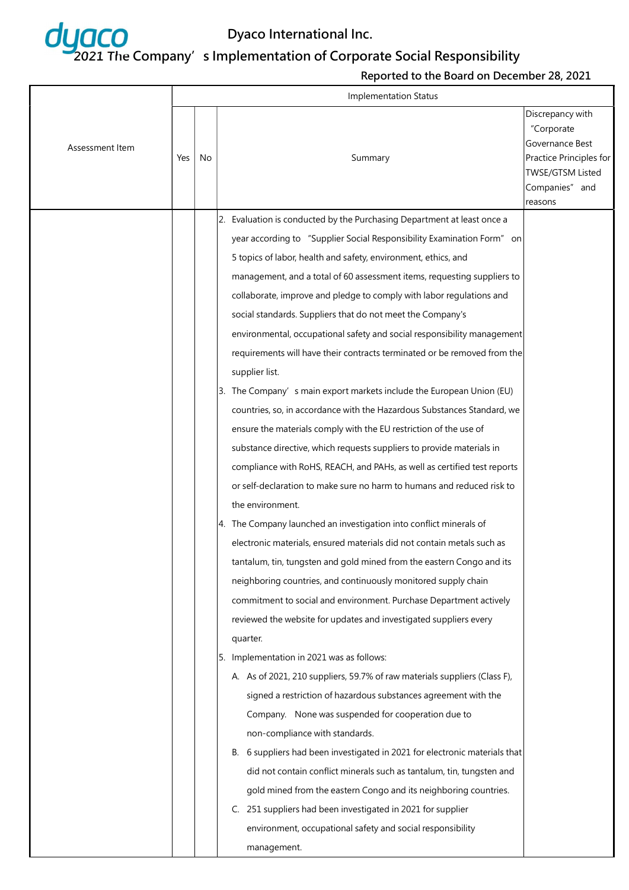

|                 | <b>Implementation Status</b> |    |                                                                                                                                                                                                                                                                                                                                                                                                                                                                                                                                                                                                                                                                                                                                                                                                                                                                                                                                                                                                                                                                                                                                                                                                                                                                                                                                                                                                                                                                                                                                                                                                                                                                                                                                                                                                                                                                                                                                                                                                                                                                                                                                                                                                           |                                                                                                                                      |  |  |  |  |
|-----------------|------------------------------|----|-----------------------------------------------------------------------------------------------------------------------------------------------------------------------------------------------------------------------------------------------------------------------------------------------------------------------------------------------------------------------------------------------------------------------------------------------------------------------------------------------------------------------------------------------------------------------------------------------------------------------------------------------------------------------------------------------------------------------------------------------------------------------------------------------------------------------------------------------------------------------------------------------------------------------------------------------------------------------------------------------------------------------------------------------------------------------------------------------------------------------------------------------------------------------------------------------------------------------------------------------------------------------------------------------------------------------------------------------------------------------------------------------------------------------------------------------------------------------------------------------------------------------------------------------------------------------------------------------------------------------------------------------------------------------------------------------------------------------------------------------------------------------------------------------------------------------------------------------------------------------------------------------------------------------------------------------------------------------------------------------------------------------------------------------------------------------------------------------------------------------------------------------------------------------------------------------------------|--------------------------------------------------------------------------------------------------------------------------------------|--|--|--|--|
| Assessment Item | Yes                          | No | Summary                                                                                                                                                                                                                                                                                                                                                                                                                                                                                                                                                                                                                                                                                                                                                                                                                                                                                                                                                                                                                                                                                                                                                                                                                                                                                                                                                                                                                                                                                                                                                                                                                                                                                                                                                                                                                                                                                                                                                                                                                                                                                                                                                                                                   | Discrepancy with<br>"Corporate<br>Governance Best<br>Practice Principles for<br><b>TWSE/GTSM Listed</b><br>Companies" and<br>reasons |  |  |  |  |
|                 |                              |    | 2. Evaluation is conducted by the Purchasing Department at least once a<br>year according to "Supplier Social Responsibility Examination Form" on<br>5 topics of labor, health and safety, environment, ethics, and<br>management, and a total of 60 assessment items, requesting suppliers to<br>collaborate, improve and pledge to comply with labor regulations and<br>social standards. Suppliers that do not meet the Company's<br>environmental, occupational safety and social responsibility management<br>requirements will have their contracts terminated or be removed from the<br>supplier list.<br>3. The Company's main export markets include the European Union (EU)<br>countries, so, in accordance with the Hazardous Substances Standard, we<br>ensure the materials comply with the EU restriction of the use of<br>substance directive, which requests suppliers to provide materials in<br>compliance with RoHS, REACH, and PAHs, as well as certified test reports<br>or self-declaration to make sure no harm to humans and reduced risk to<br>the environment.<br>4. The Company launched an investigation into conflict minerals of<br>electronic materials, ensured materials did not contain metals such as<br>tantalum, tin, tungsten and gold mined from the eastern Congo and its<br>neighboring countries, and continuously monitored supply chain<br>commitment to social and environment. Purchase Department actively<br>reviewed the website for updates and investigated suppliers every<br>quarter.<br>5. Implementation in 2021 was as follows:<br>A. As of 2021, 210 suppliers, 59.7% of raw materials suppliers (Class F),<br>signed a restriction of hazardous substances agreement with the<br>Company. None was suspended for cooperation due to<br>non-compliance with standards.<br>B. 6 suppliers had been investigated in 2021 for electronic materials that<br>did not contain conflict minerals such as tantalum, tin, tungsten and<br>gold mined from the eastern Congo and its neighboring countries.<br>251 suppliers had been investigated in 2021 for supplier<br>C.<br>environment, occupational safety and social responsibility<br>management. |                                                                                                                                      |  |  |  |  |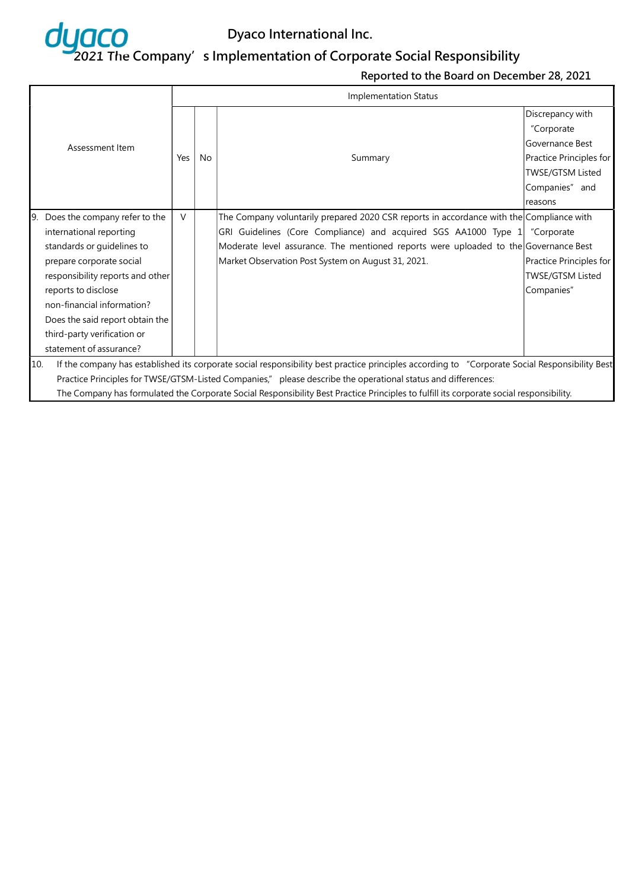

|     |                                                                                                                                         |        | <b>Implementation Status</b> |                                                                                                                                                |                         |  |  |  |
|-----|-----------------------------------------------------------------------------------------------------------------------------------------|--------|------------------------------|------------------------------------------------------------------------------------------------------------------------------------------------|-------------------------|--|--|--|
|     |                                                                                                                                         |        |                              |                                                                                                                                                | Discrepancy with        |  |  |  |
|     |                                                                                                                                         |        |                              |                                                                                                                                                | "Corporate              |  |  |  |
|     | Assessment Item                                                                                                                         |        |                              |                                                                                                                                                | Governance Best         |  |  |  |
|     |                                                                                                                                         | Yes    | <b>No</b>                    | Summary                                                                                                                                        | Practice Principles for |  |  |  |
|     |                                                                                                                                         |        |                              |                                                                                                                                                | TWSE/GTSM Listed        |  |  |  |
|     |                                                                                                                                         |        |                              |                                                                                                                                                | Companies" and          |  |  |  |
|     |                                                                                                                                         |        |                              |                                                                                                                                                | reasons                 |  |  |  |
|     | 9. Does the company refer to the                                                                                                        | $\vee$ |                              | The Company voluntarily prepared 2020 CSR reports in accordance with the Compliance with                                                       |                         |  |  |  |
|     | international reporting                                                                                                                 |        |                              | GRI Guidelines (Core Compliance) and acquired SGS AA1000 Type 1                                                                                | "Corporate              |  |  |  |
|     | standards or guidelines to                                                                                                              |        |                              | Moderate level assurance. The mentioned reports were uploaded to the Governance Best                                                           |                         |  |  |  |
|     | prepare corporate social                                                                                                                |        |                              | Market Observation Post System on August 31, 2021.                                                                                             | Practice Principles for |  |  |  |
|     | responsibility reports and other                                                                                                        |        |                              |                                                                                                                                                | <b>TWSE/GTSM Listed</b> |  |  |  |
|     | reports to disclose                                                                                                                     |        |                              |                                                                                                                                                | Companies"              |  |  |  |
|     | non-financial information?                                                                                                              |        |                              |                                                                                                                                                |                         |  |  |  |
|     | Does the said report obtain the                                                                                                         |        |                              |                                                                                                                                                |                         |  |  |  |
|     | third-party verification or                                                                                                             |        |                              |                                                                                                                                                |                         |  |  |  |
|     | statement of assurance?                                                                                                                 |        |                              |                                                                                                                                                |                         |  |  |  |
| 10. |                                                                                                                                         |        |                              | If the company has established its corporate social responsibility best practice principles according to "Corporate Social Responsibility Best |                         |  |  |  |
|     |                                                                                                                                         |        |                              | Practice Principles for TWSE/GTSM-Listed Companies," please describe the operational status and differences:                                   |                         |  |  |  |
|     | The Company has formulated the Corporate Social Responsibility Best Practice Principles to fulfill its corporate social responsibility. |        |                              |                                                                                                                                                |                         |  |  |  |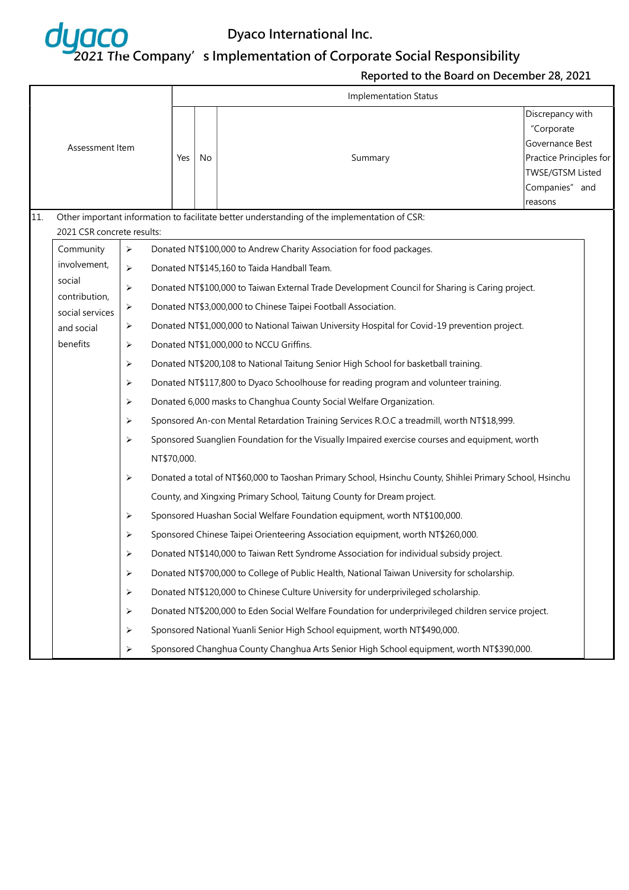

|     |                                                                         |                       |                                                                                               | <b>Implementation Status</b>                                                                   |    |                                                                                                          |                                                                                                                               |  |  |  |  |  |  |
|-----|-------------------------------------------------------------------------|-----------------------|-----------------------------------------------------------------------------------------------|------------------------------------------------------------------------------------------------|----|----------------------------------------------------------------------------------------------------------|-------------------------------------------------------------------------------------------------------------------------------|--|--|--|--|--|--|
|     | Assessment Item                                                         |                       |                                                                                               | Yes                                                                                            | No | Summary                                                                                                  | Discrepancy with<br>"Corporate<br>Governance Best<br>Practice Principles for<br>TWSE/GTSM Listed<br>Companies" and<br>reasons |  |  |  |  |  |  |
| 11. | 2021 CSR concrete results:                                              |                       |                                                                                               |                                                                                                |    | Other important information to facilitate better understanding of the implementation of CSR:             |                                                                                                                               |  |  |  |  |  |  |
|     | Community                                                               | $\blacktriangleright$ |                                                                                               |                                                                                                |    | Donated NT\$100,000 to Andrew Charity Association for food packages.                                     |                                                                                                                               |  |  |  |  |  |  |
|     | involvement,<br>≻                                                       |                       |                                                                                               |                                                                                                |    | Donated NT\$145,160 to Taida Handball Team.                                                              |                                                                                                                               |  |  |  |  |  |  |
|     | social<br>➤<br>contribution,<br>➤<br>social services<br>➤<br>and social |                       |                                                                                               |                                                                                                |    | Donated NT\$100,000 to Taiwan External Trade Development Council for Sharing is Caring project.          |                                                                                                                               |  |  |  |  |  |  |
|     |                                                                         |                       |                                                                                               |                                                                                                |    | Donated NT\$3,000,000 to Chinese Taipei Football Association.                                            |                                                                                                                               |  |  |  |  |  |  |
|     |                                                                         |                       | Donated NT\$1,000,000 to National Taiwan University Hospital for Covid-19 prevention project. |                                                                                                |    |                                                                                                          |                                                                                                                               |  |  |  |  |  |  |
|     | benefits                                                                | ≻                     |                                                                                               |                                                                                                |    | Donated NT\$1,000,000 to NCCU Griffins.                                                                  |                                                                                                                               |  |  |  |  |  |  |
|     |                                                                         | ➤                     |                                                                                               | Donated NT\$200,108 to National Taitung Senior High School for basketball training.            |    |                                                                                                          |                                                                                                                               |  |  |  |  |  |  |
|     |                                                                         | ➤                     |                                                                                               |                                                                                                |    | Donated NT\$117,800 to Dyaco Schoolhouse for reading program and volunteer training.                     |                                                                                                                               |  |  |  |  |  |  |
|     |                                                                         | ➤                     |                                                                                               | Donated 6,000 masks to Changhua County Social Welfare Organization.                            |    |                                                                                                          |                                                                                                                               |  |  |  |  |  |  |
|     |                                                                         | ➤                     |                                                                                               |                                                                                                |    | Sponsored An-con Mental Retardation Training Services R.O.C a treadmill, worth NT\$18,999.               |                                                                                                                               |  |  |  |  |  |  |
|     |                                                                         | ➤                     |                                                                                               | Sponsored Suanglien Foundation for the Visually Impaired exercise courses and equipment, worth |    |                                                                                                          |                                                                                                                               |  |  |  |  |  |  |
|     |                                                                         |                       | NT\$70,000.                                                                                   |                                                                                                |    |                                                                                                          |                                                                                                                               |  |  |  |  |  |  |
|     |                                                                         | ➤                     |                                                                                               |                                                                                                |    | Donated a total of NT\$60,000 to Taoshan Primary School, Hsinchu County, Shihlei Primary School, Hsinchu |                                                                                                                               |  |  |  |  |  |  |
|     |                                                                         |                       |                                                                                               |                                                                                                |    | County, and Xingxing Primary School, Taitung County for Dream project.                                   |                                                                                                                               |  |  |  |  |  |  |
|     |                                                                         | ➤                     |                                                                                               |                                                                                                |    | Sponsored Huashan Social Welfare Foundation equipment, worth NT\$100,000.                                |                                                                                                                               |  |  |  |  |  |  |
|     |                                                                         | ➤                     |                                                                                               |                                                                                                |    | Sponsored Chinese Taipei Orienteering Association equipment, worth NT\$260,000.                          |                                                                                                                               |  |  |  |  |  |  |
|     |                                                                         | ➤                     |                                                                                               |                                                                                                |    | Donated NT\$140,000 to Taiwan Rett Syndrome Association for individual subsidy project.                  |                                                                                                                               |  |  |  |  |  |  |
|     |                                                                         | ➤                     |                                                                                               |                                                                                                |    | Donated NT\$700,000 to College of Public Health, National Taiwan University for scholarship.             |                                                                                                                               |  |  |  |  |  |  |
|     |                                                                         | ➤                     |                                                                                               |                                                                                                |    | Donated NT\$120,000 to Chinese Culture University for underprivileged scholarship.                       |                                                                                                                               |  |  |  |  |  |  |
|     |                                                                         | ➤                     |                                                                                               |                                                                                                |    | Donated NT\$200,000 to Eden Social Welfare Foundation for underprivileged children service project.      |                                                                                                                               |  |  |  |  |  |  |
|     |                                                                         | ➤                     |                                                                                               | Sponsored National Yuanli Senior High School equipment, worth NT\$490,000.                     |    |                                                                                                          |                                                                                                                               |  |  |  |  |  |  |
|     |                                                                         | ➤                     |                                                                                               | Sponsored Changhua County Changhua Arts Senior High School equipment, worth NT\$390,000.       |    |                                                                                                          |                                                                                                                               |  |  |  |  |  |  |